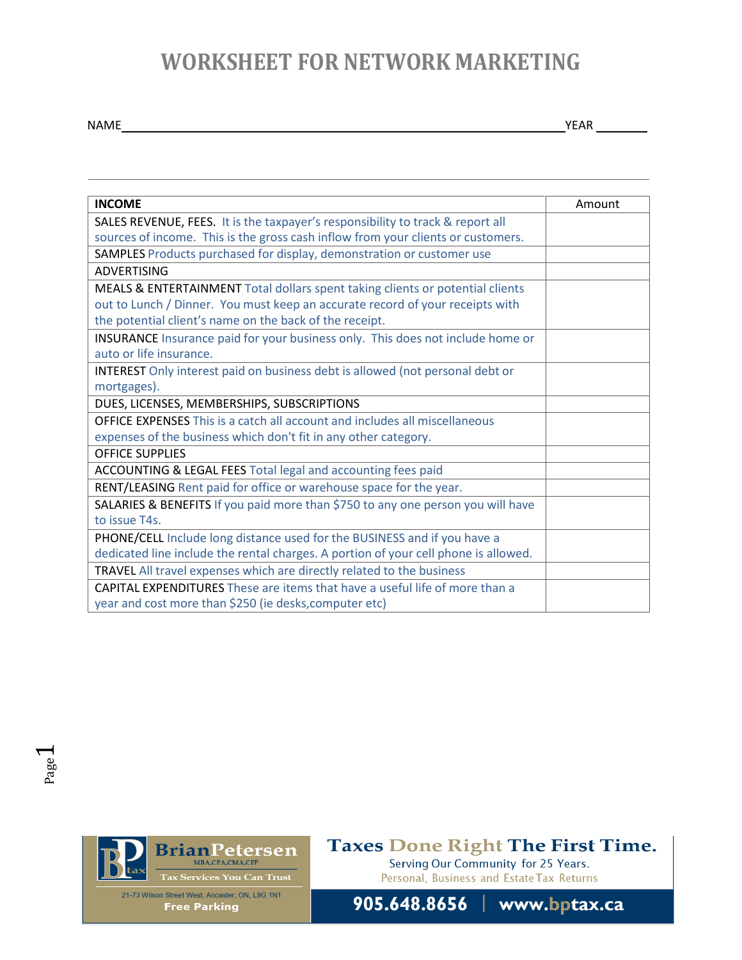## **WORKSHEET FOR NETWORK MARKETING**

NAME YEAR

| <b>INCOME</b>                                                                       | Amount |
|-------------------------------------------------------------------------------------|--------|
| SALES REVENUE, FEES. It is the taxpayer's responsibility to track & report all      |        |
| sources of income. This is the gross cash inflow from your clients or customers.    |        |
| SAMPLES Products purchased for display, demonstration or customer use               |        |
| <b>ADVERTISING</b>                                                                  |        |
| MEALS & ENTERTAINMENT Total dollars spent taking clients or potential clients       |        |
| out to Lunch / Dinner. You must keep an accurate record of your receipts with       |        |
| the potential client's name on the back of the receipt.                             |        |
| INSURANCE Insurance paid for your business only. This does not include home or      |        |
| auto or life insurance.                                                             |        |
| INTEREST Only interest paid on business debt is allowed (not personal debt or       |        |
| mortgages).                                                                         |        |
| DUES, LICENSES, MEMBERSHIPS, SUBSCRIPTIONS                                          |        |
| <b>OFFICE EXPENSES</b> This is a catch all account and includes all miscellaneous   |        |
| expenses of the business which don't fit in any other category.                     |        |
| <b>OFFICE SUPPLIES</b>                                                              |        |
| ACCOUNTING & LEGAL FEES Total legal and accounting fees paid                        |        |
| RENT/LEASING Rent paid for office or warehouse space for the year.                  |        |
| SALARIES & BENEFITS If you paid more than \$750 to any one person you will have     |        |
| to issue T4s.                                                                       |        |
| PHONE/CELL Include long distance used for the BUSINESS and if you have a            |        |
| dedicated line include the rental charges. A portion of your cell phone is allowed. |        |
| TRAVEL All travel expenses which are directly related to the business               |        |
| <b>CAPITAL EXPENDITURES</b> These are items that have a useful life of more than a  |        |
| year and cost more than \$250 (ie desks, computer etc)                              |        |



### Taxes Done Right The First Time.

Serving Our Community for 25 Years. Personal, Business and Estate Tax Returns

905.648.8656 | www.bptax.ca

21-73 Wilson Street West, Ancaster, ON, L9G 1N1 **Free Parking**